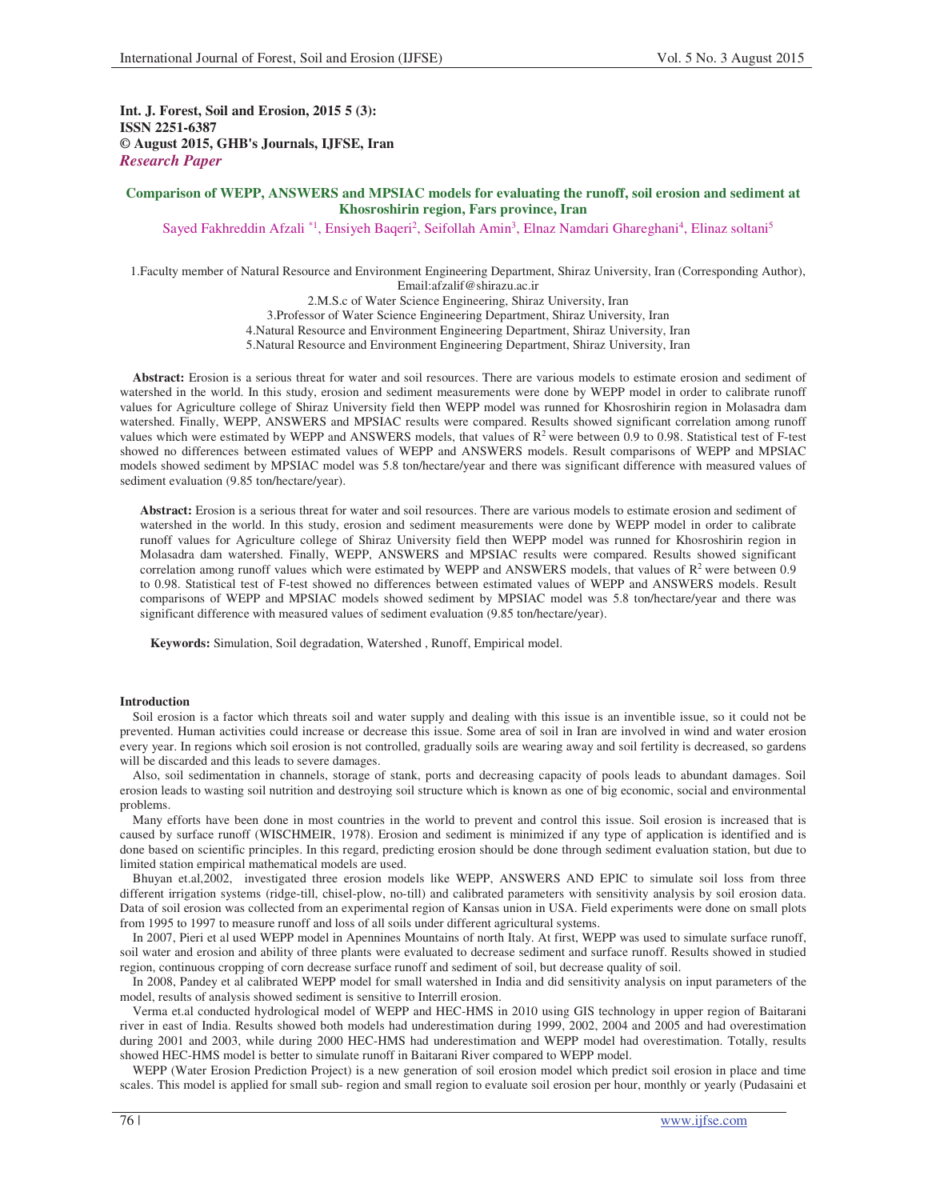**Int. J. Forest, Soil and Erosion, 2015 5 (3): ISSN 2251-6387 © August 2015, GHB's Journals, IJFSE, Iran** *Research Paper* 

## **Comparison of WEPP, ANSWERS and MPSIAC models for evaluating the runoff, soil erosion and sediment at Khosroshirin region, Fars province, Iran**

Sayed Fakhreddin Afzali \*1, Ensiyeh Baqeri<sup>2</sup>, Seifollah Amin<sup>3</sup>, Elnaz Namdari Ghareghani<sup>4</sup>, Elinaz soltani<sup>5</sup>

1.Faculty member of Natural Resource and Environment Engineering Department, Shiraz University, Iran (Corresponding Author), Email:afzalif@shirazu.ac.ir

2.M.S.c of Water Science Engineering, Shiraz University, Iran 3.Professor of Water Science Engineering Department, Shiraz University, Iran 4.Natural Resource and Environment Engineering Department, Shiraz University, Iran 5.Natural Resource and Environment Engineering Department, Shiraz University, Iran

**Abstract:** Erosion is a serious threat for water and soil resources. There are various models to estimate erosion and sediment of watershed in the world. In this study, erosion and sediment measurements were done by WEPP model in order to calibrate runoff values for Agriculture college of Shiraz University field then WEPP model was runned for Khosroshirin region in Molasadra dam watershed. Finally, WEPP, ANSWERS and MPSIAC results were compared. Results showed significant correlation among runoff values which were estimated by WEPP and ANSWERS models, that values of  $R^2$  were between 0.9 to 0.98. Statistical test of F-test showed no differences between estimated values of WEPP and ANSWERS models. Result comparisons of WEPP and MPSIAC models showed sediment by MPSIAC model was 5.8 ton/hectare/year and there was significant difference with measured values of sediment evaluation (9.85 ton/hectare/year).

**Abstract:** Erosion is a serious threat for water and soil resources. There are various models to estimate erosion and sediment of watershed in the world. In this study, erosion and sediment measurements were done by WEPP model in order to calibrate runoff values for Agriculture college of Shiraz University field then WEPP model was runned for Khosroshirin region in Molasadra dam watershed. Finally, WEPP, ANSWERS and MPSIAC results were compared. Results showed significant correlation among runoff values which were estimated by WEPP and ANSWERS models, that values of  $R^2$  were between 0.9 to 0.98. Statistical test of F-test showed no differences between estimated values of WEPP and ANSWERS models. Result comparisons of WEPP and MPSIAC models showed sediment by MPSIAC model was 5.8 ton/hectare/year and there was significant difference with measured values of sediment evaluation (9.85 ton/hectare/year).

**Keywords:** Simulation, Soil degradation, Watershed , Runoff, Empirical model.

#### **Introduction**

Soil erosion is a factor which threats soil and water supply and dealing with this issue is an inventible issue, so it could not be prevented. Human activities could increase or decrease this issue. Some area of soil in Iran are involved in wind and water erosion every year. In regions which soil erosion is not controlled, gradually soils are wearing away and soil fertility is decreased, so gardens will be discarded and this leads to severe damages.

Also, soil sedimentation in channels, storage of stank, ports and decreasing capacity of pools leads to abundant damages. Soil erosion leads to wasting soil nutrition and destroying soil structure which is known as one of big economic, social and environmental problems.

Many efforts have been done in most countries in the world to prevent and control this issue. Soil erosion is increased that is caused by surface runoff (WISCHMEIR, 1978). Erosion and sediment is minimized if any type of application is identified and is done based on scientific principles. In this regard, predicting erosion should be done through sediment evaluation station, but due to limited station empirical mathematical models are used.

Bhuyan et.al,2002, investigated three erosion models like WEPP, ANSWERS AND EPIC to simulate soil loss from three different irrigation systems (ridge-till, chisel-plow, no-till) and calibrated parameters with sensitivity analysis by soil erosion data. Data of soil erosion was collected from an experimental region of Kansas union in USA. Field experiments were done on small plots from 1995 to 1997 to measure runoff and loss of all soils under different agricultural systems.

In 2007, Pieri et al used WEPP model in Apennines Mountains of north Italy. At first, WEPP was used to simulate surface runoff, soil water and erosion and ability of three plants were evaluated to decrease sediment and surface runoff. Results showed in studied region, continuous cropping of corn decrease surface runoff and sediment of soil, but decrease quality of soil.

In 2008, Pandey et al calibrated WEPP model for small watershed in India and did sensitivity analysis on input parameters of the model, results of analysis showed sediment is sensitive to Interrill erosion.

Verma et.al conducted hydrological model of WEPP and HEC-HMS in 2010 using GIS technology in upper region of Baitarani river in east of India. Results showed both models had underestimation during 1999, 2002, 2004 and 2005 and had overestimation during 2001 and 2003, while during 2000 HEC-HMS had underestimation and WEPP model had overestimation. Totally, results showed HEC-HMS model is better to simulate runoff in Baitarani River compared to WEPP model.

WEPP (Water Erosion Prediction Project) is a new generation of soil erosion model which predict soil erosion in place and time scales. This model is applied for small sub- region and small region to evaluate soil erosion per hour, monthly or yearly (Pudasaini et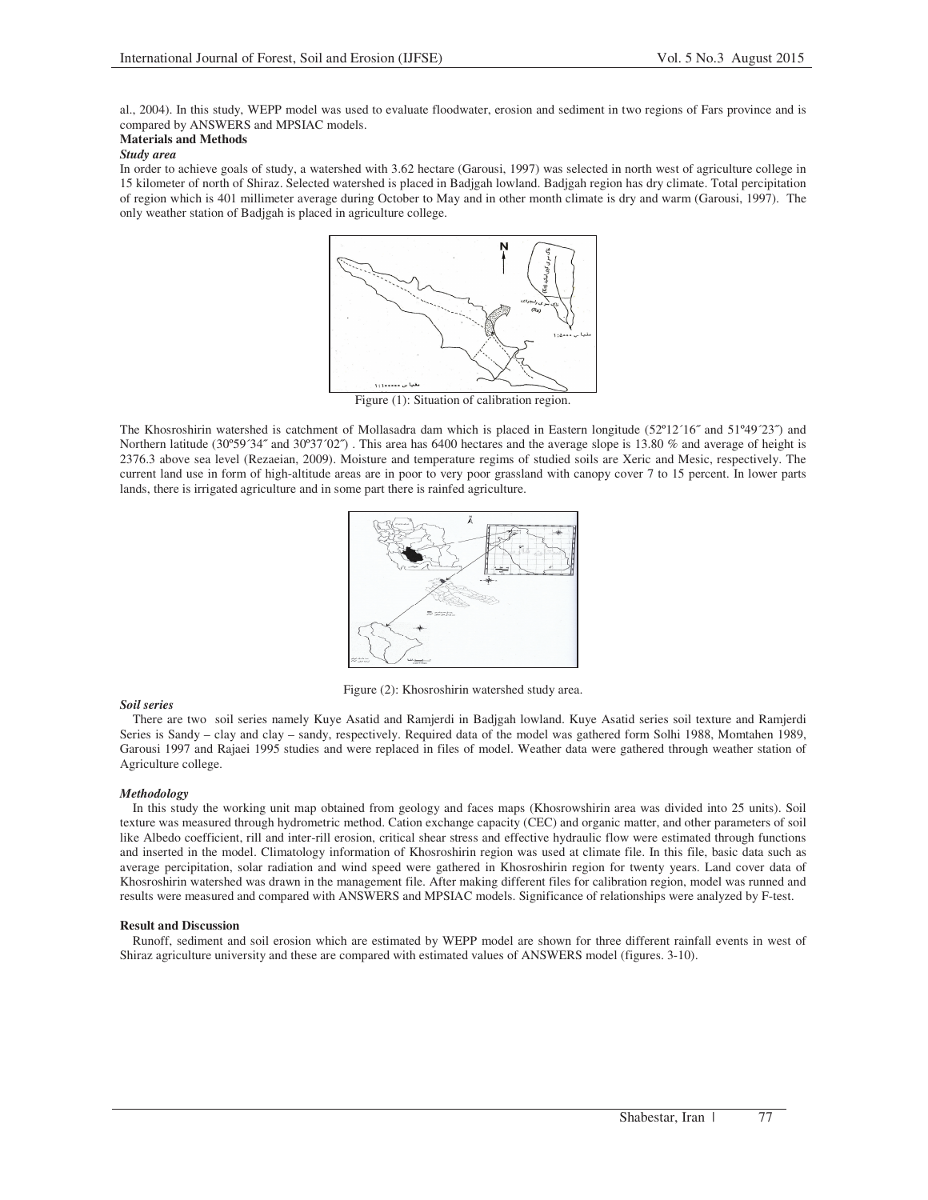al., 2004). In this study, WEPP model was used to evaluate floodwater, erosion and sediment in two regions of Fars province and is compared by ANSWERS and MPSIAC models.

## **Materials and Methods**

### *Study area*

In order to achieve goals of study, a watershed with 3.62 hectare (Garousi, 1997) was selected in north west of agriculture college in 15 kilometer of north of Shiraz. Selected watershed is placed in Badjgah lowland. Badjgah region has dry climate. Total percipitation of region which is 401 millimeter average during October to May and in other month climate is dry and warm (Garousi, 1997). The only weather station of Badjgah is placed in agriculture college.



Figure (1): Situation of calibration region.

The Khosroshirin watershed is catchment of Mollasadra dam which is placed in Eastern longitude (52º12´16˝ and 51º49´23˝) and Northern latitude (30°59´34″ and 30°37′02″). This area has 6400 hectares and the average slope is 13.80 % and average of height is 2376.3 above sea level (Rezaeian, 2009). Moisture and temperature regims of studied soils are Xeric and Mesic, respectively. The current land use in form of high-altitude areas are in poor to very poor grassland with canopy cover 7 to 15 percent. In lower parts lands, there is irrigated agriculture and in some part there is rainfed agriculture.



Figure (2): Khosroshirin watershed study area.

## *Soil series*

There are two soil series namely Kuye Asatid and Ramjerdi in Badjgah lowland. Kuye Asatid series soil texture and Ramjerdi Series is Sandy – clay and clay – sandy, respectively. Required data of the model was gathered form Solhi 1988, Momtahen 1989, Garousi 1997 and Rajaei 1995 studies and were replaced in files of model. Weather data were gathered through weather station of Agriculture college.

## *Methodology*

In this study the working unit map obtained from geology and faces maps (Khosrowshirin area was divided into 25 units). Soil texture was measured through hydrometric method. Cation exchange capacity (CEC) and organic matter, and other parameters of soil like Albedo coefficient, rill and inter-rill erosion, critical shear stress and effective hydraulic flow were estimated through functions and inserted in the model. Climatology information of Khosroshirin region was used at climate file. In this file, basic data such as average percipitation, solar radiation and wind speed were gathered in Khosroshirin region for twenty years. Land cover data of Khosroshirin watershed was drawn in the management file. After making different files for calibration region, model was runned and results were measured and compared with ANSWERS and MPSIAC models. Significance of relationships were analyzed by F-test.

#### **Result and Discussion**

Runoff, sediment and soil erosion which are estimated by WEPP model are shown for three different rainfall events in west of Shiraz agriculture university and these are compared with estimated values of ANSWERS model (figures. 3-10).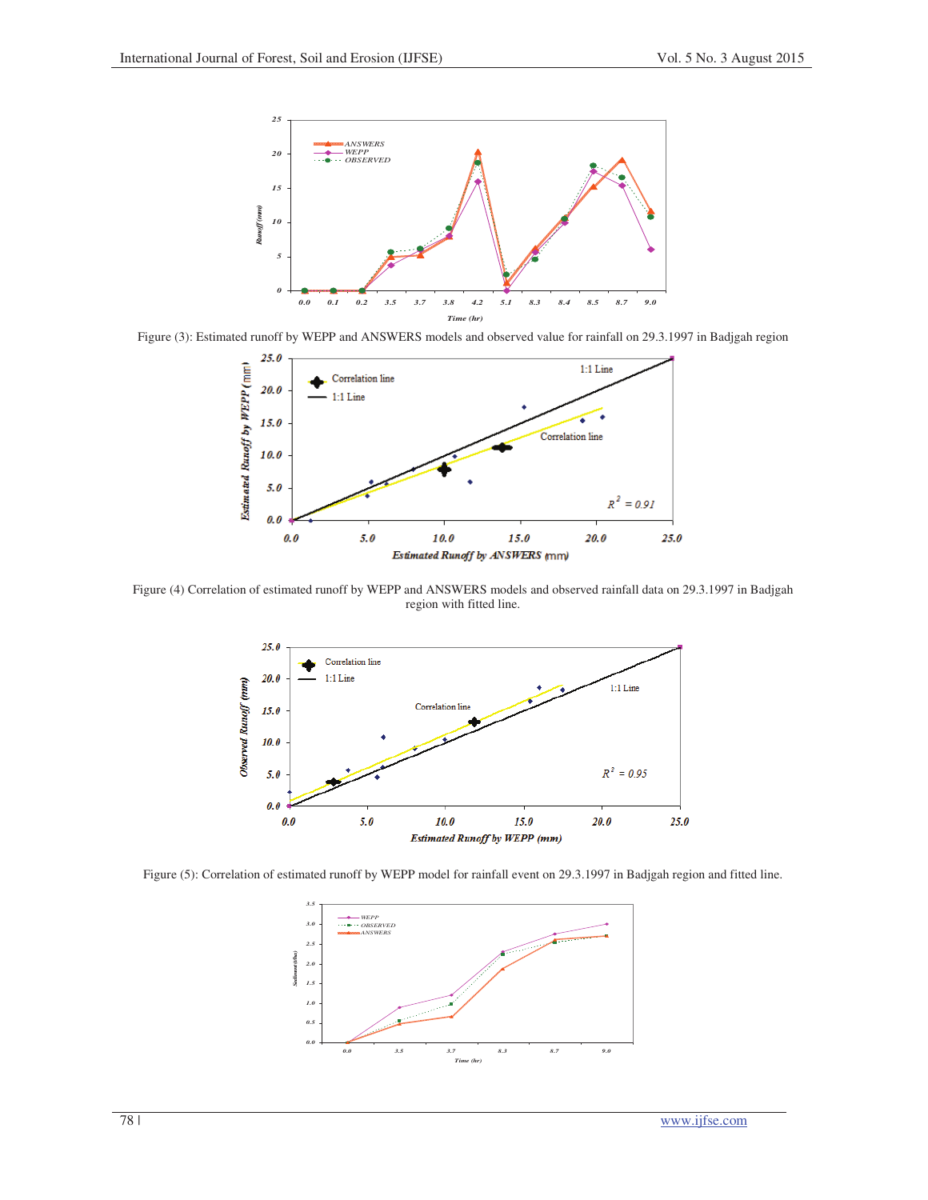

Figure (3): Estimated runoff by WEPP and ANSWERS models and observed value for rainfall on 29.3.1997 in Badjgah region



Figure (4) Correlation of estimated runoff by WEPP and ANSWERS models and observed rainfall data on 29.3.1997 in Badjgah region with fitted line.



Figure (5): Correlation of estimated runoff by WEPP model for rainfall event on 29.3.1997 in Badjgah region and fitted line.

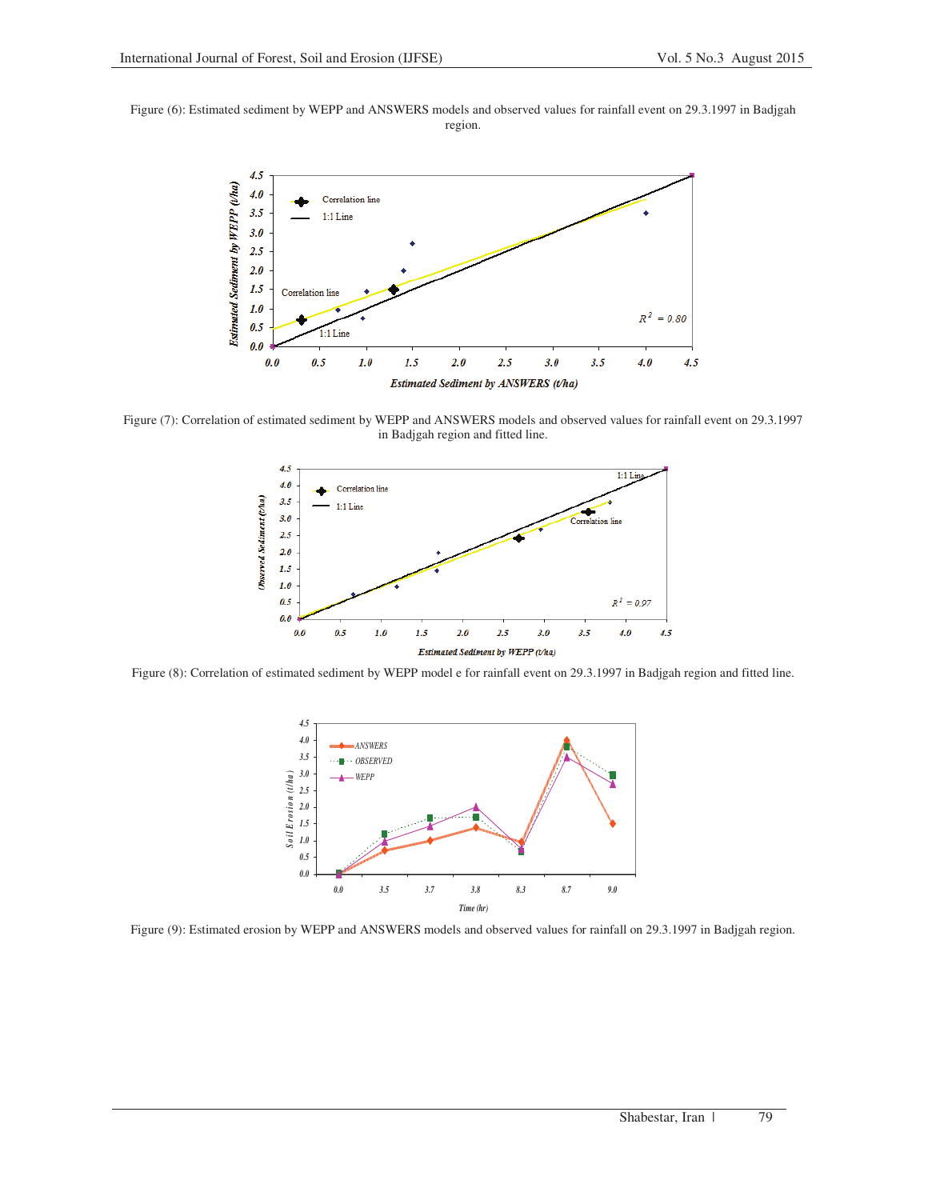Figure (6): Estimated sediment by WEPP and ANSWERS models and observed values for rainfall event on 29.3.1997 in Badjgah region.



Figure (7): Correlation of estimated sediment by WEPP and ANSWERS models and observed values for rainfall event on 29.3.1997 in Badjgah region and fitted line.



Figure (8): Correlation of estimated sediment by WEPP model e for rainfall event on 29.3.1997 in Badjgah region and fitted line.



Figure (9): Estimated erosion by WEPP and ANSWERS models and observed values for rainfall on 29.3.1997 in Badjgah region.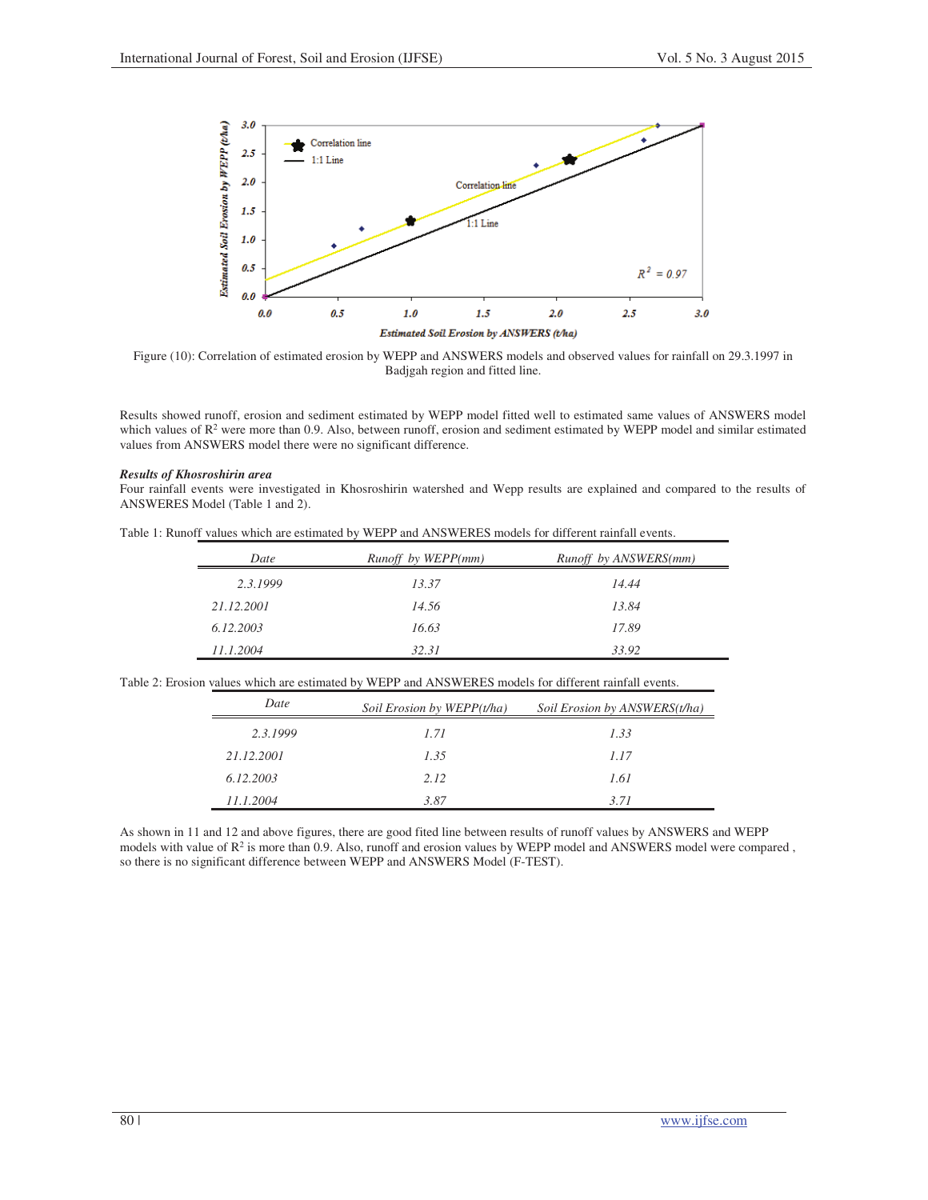

Figure (10): Correlation of estimated erosion by WEPP and ANSWERS models and observed values for rainfall on 29.3.1997 in Badjgah region and fitted line.

Results showed runoff, erosion and sediment estimated by WEPP model fitted well to estimated same values of ANSWERS model which values of R<sup>2</sup> were more than 0.9. Also, between runoff, erosion and sediment estimated by WEPP model and similar estimated values from ANSWERS model there were no significant difference.

### *Results of Khosroshirin area*

Four rainfall events were investigated in Khosroshirin watershed and Wepp results are explained and compared to the results of ANSWERES Model (Table 1 and 2).

|  |  | Table 1: Runoff values which are estimated by WEPP and ANSWERES models for different rainfall events. |  |
|--|--|-------------------------------------------------------------------------------------------------------|--|
|--|--|-------------------------------------------------------------------------------------------------------|--|

| Date       | Runoff by WEPP(mm) | Runoff by ANSWERS(mm) |
|------------|--------------------|-----------------------|
| 2.3.1999   | 13.37              | 14.44                 |
| 21.12.2001 | 14.56              | 13.84                 |
| 6.12.2003  | 16.63              | 17.89                 |
| 11.1.2004  | 32.31              | 33.92                 |

Table 2: Erosion values which are estimated by WEPP and ANSWERES models for different rainfall events.

| Date       | Soil Erosion by WEPP(t/ha) | Soil Erosion by ANSWERS(t/ha) |
|------------|----------------------------|-------------------------------|
| 2.3.1999   | 1.71                       | 133                           |
| 21.12.2001 | 1.35                       | 1.17                          |
| 6.12.2003  | 2.12                       | 1.61                          |
| 11.1.2004  | 3.87                       | 3.71                          |

As shown in 11 and 12 and above figures, there are good fited line between results of runoff values by ANSWERS and WEPP models with value of  $R^2$  is more than 0.9. Also, runoff and erosion values by WEPP model and ANSWERS model were compared, so there is no significant difference between WEPP and ANSWERS Model (F-TEST).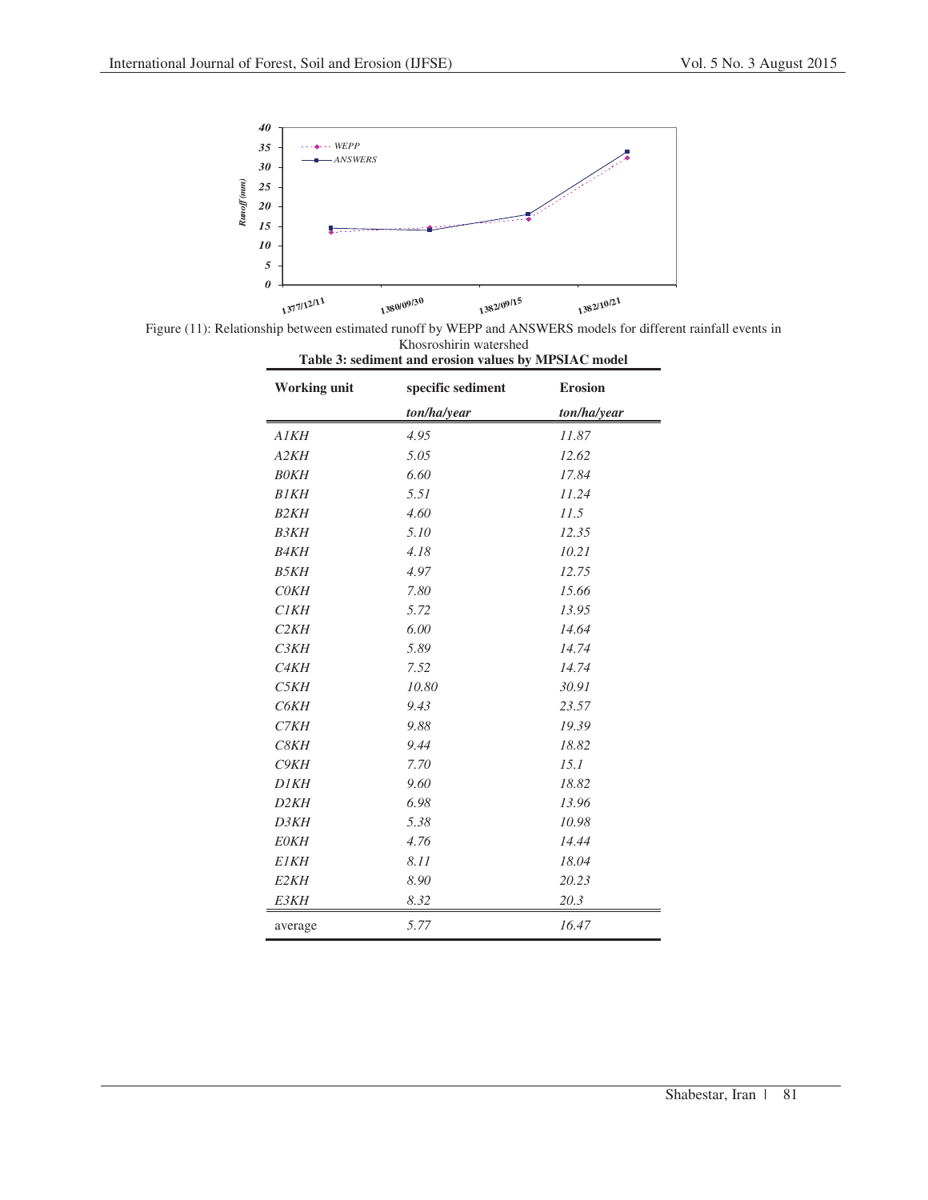

Figure (11): Relationship between estimated runoff by WEPP and ANSWERS models for different rainfall events in Khosroshirin watershed **Table 3: sediment and erosion values by MPSIAC model** 

| <b>Working unit</b> | specific sediment | <b>Erosion</b> |
|---------------------|-------------------|----------------|
|                     | ton/ha/year       | ton/ha/year    |
| <b>A1KH</b>         | 4.95              | 11.87          |
| A2KH                | 5.05              | 12.62          |
| <b>BOKH</b>         | 6.60              | 17.84          |
| <b>B1KH</b>         | 5.51              | 11.24          |
| <b>B2KH</b>         | 4.60              | 11.5           |
| <b>B3KH</b>         | 5.10              | 12.35          |
| <b>B4KH</b>         | 4.18              | 10.21          |
| <b>B5KH</b>         | 4.97              | 12.75          |
| <b>COKH</b>         | 7.80              | 15.66          |
| <b>C1KH</b>         | 5.72              | 13.95          |
| C2KH                | 6.00              | 14.64          |
| C3KH                | 5.89              | 14.74          |
| C <sub>4</sub> KH   | 7.52              | 14.74          |
| C5KH                | 10.80             | 30.91          |
| C6KH                | 9.43              | 23.57          |
| C7KH                | 9.88              | 19.39          |
| C8KH                | 9.44              | 18.82          |
| C9KH                | 7.70              | 15.1           |
| <b>D1KH</b>         | 9.60              | 18.82          |
| D <sub>2</sub> KH   | 6.98              | 13.96          |
| D3KH                | 5.38              | 10.98          |
| <b>EOKH</b>         | 4.76              | 14.44          |
| <b>E1KH</b>         | 8.11              | 18.04          |
| E <sub>2</sub> KH   | 8.90              | 20.23          |
| E3KH                | 8.32              | 20.3           |
| average             | 5.77              | 16.47          |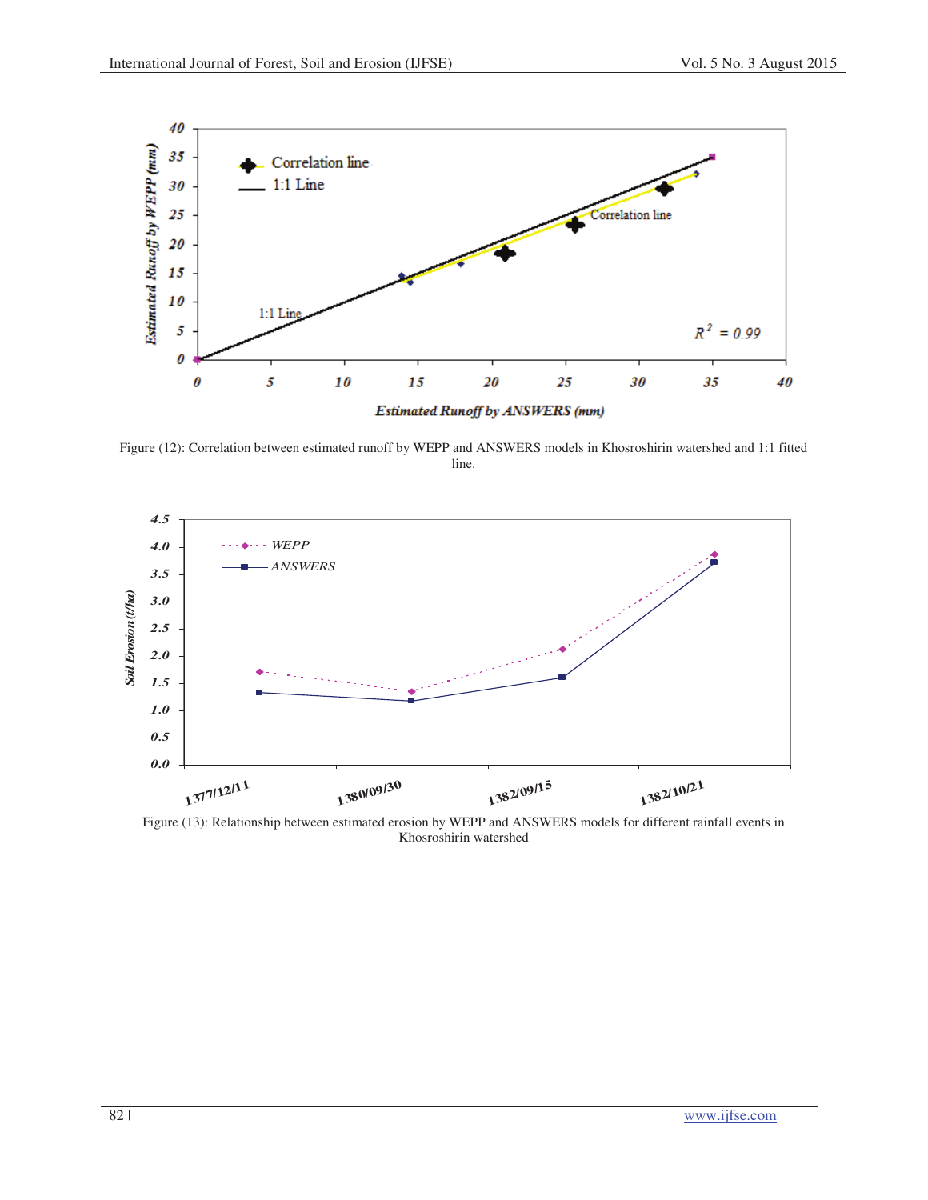

Figure (12): Correlation between estimated runoff by WEPP and ANSWERS models in Khosroshirin watershed and 1:1 fitted line.



Figure (13): Relationship between estimated erosion by WEPP and ANSWERS models for different rainfall events in Khosroshirin watershed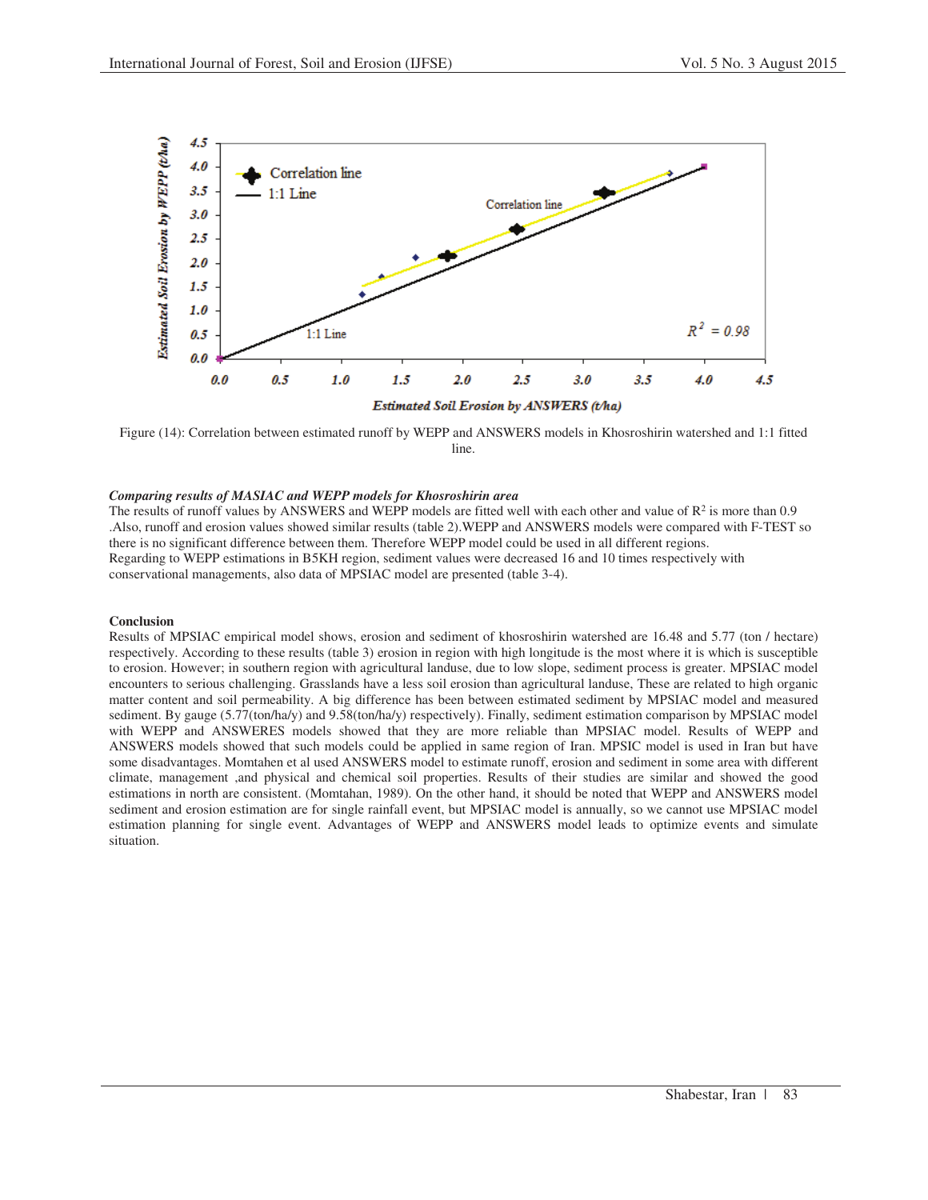

Figure (14): Correlation between estimated runoff by WEPP and ANSWERS models in Khosroshirin watershed and 1:1 fitted line.

## *Comparing results of MASIAC and WEPP models for Khosroshirin area*

The results of runoff values by ANSWERS and WEPP models are fitted well with each other and value of  $R^2$  is more than 0.9 .Also, runoff and erosion values showed similar results (table 2).WEPP and ANSWERS models were compared with F-TEST so there is no significant difference between them. Therefore WEPP model could be used in all different regions. Regarding to WEPP estimations in B5KH region, sediment values were decreased 16 and 10 times respectively with conservational managements, also data of MPSIAC model are presented (table 3-4).

## **Conclusion**

Results of MPSIAC empirical model shows, erosion and sediment of khosroshirin watershed are 16.48 and 5.77 (ton / hectare) respectively. According to these results (table 3) erosion in region with high longitude is the most where it is which is susceptible to erosion. However; in southern region with agricultural landuse, due to low slope, sediment process is greater. MPSIAC model encounters to serious challenging. Grasslands have a less soil erosion than agricultural landuse, These are related to high organic matter content and soil permeability. A big difference has been between estimated sediment by MPSIAC model and measured sediment. By gauge (5.77(ton/ha/y) and 9.58(ton/ha/y) respectively). Finally, sediment estimation comparison by MPSIAC model with WEPP and ANSWERES models showed that they are more reliable than MPSIAC model. Results of WEPP and ANSWERS models showed that such models could be applied in same region of Iran. MPSIC model is used in Iran but have some disadvantages. Momtahen et al used ANSWERS model to estimate runoff, erosion and sediment in some area with different climate, management ,and physical and chemical soil properties. Results of their studies are similar and showed the good estimations in north are consistent. (Momtahan, 1989). On the other hand, it should be noted that WEPP and ANSWERS model sediment and erosion estimation are for single rainfall event, but MPSIAC model is annually, so we cannot use MPSIAC model estimation planning for single event. Advantages of WEPP and ANSWERS model leads to optimize events and simulate situation.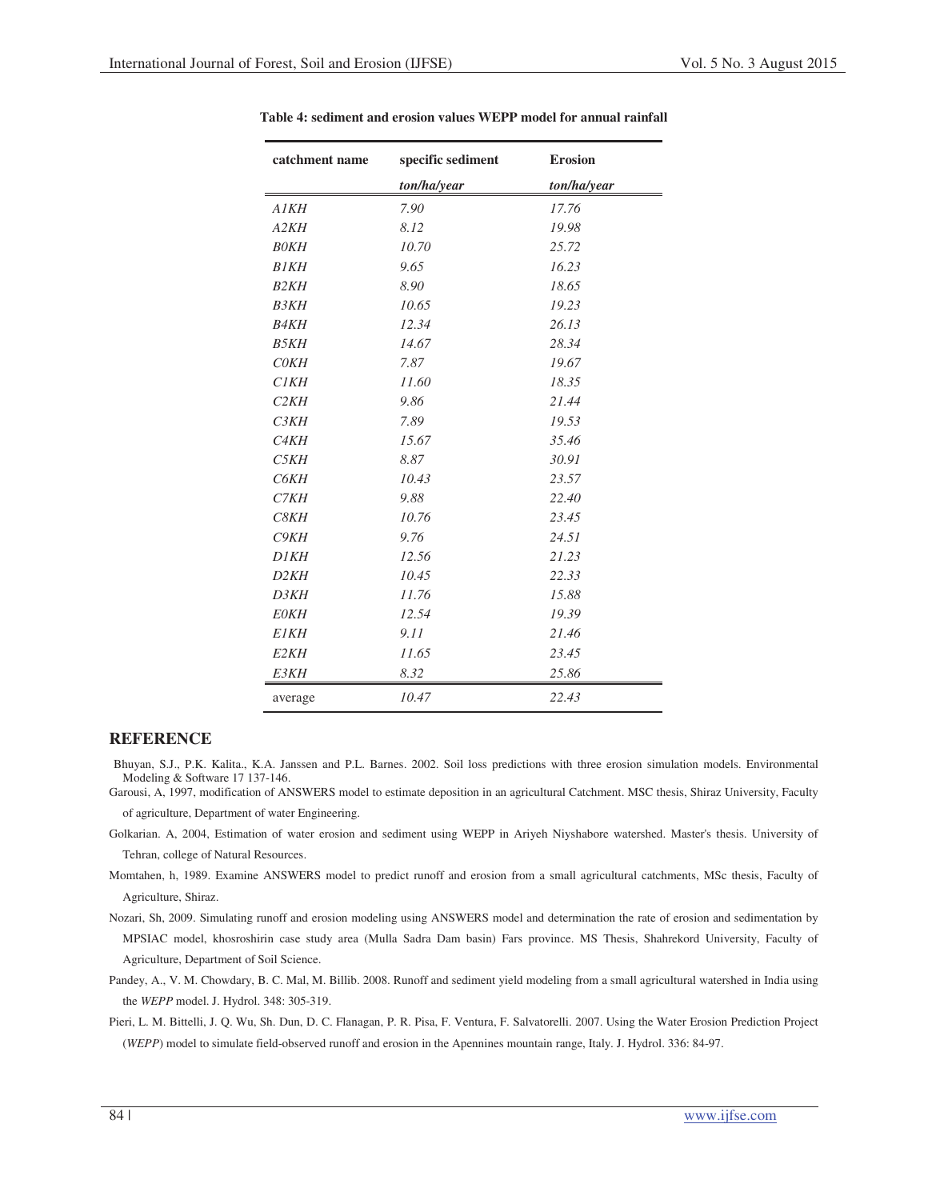| catchment name    | specific sediment | <b>Erosion</b> |
|-------------------|-------------------|----------------|
|                   | ton/ha/year       | ton/ha/year    |
| <b>A1KH</b>       | 7.90              | 17.76          |
| A2KH              | 8.12              | 19.98          |
| <b>BOKH</b>       | 10.70             | 25.72          |
| <b>B1KH</b>       | 9.65              | 16.23          |
| B2KH              | 8.90              | 18.65          |
| <b>B3KH</b>       | 10.65             | 19.23          |
| <b>B4KH</b>       | 12.34             | 26.13          |
| <b>B5KH</b>       | 14.67             | 28.34          |
| C0KH              | 7.87              | 19.67          |
| CIKH              | 11.60             | 18.35          |
| C2KH              | 9.86              | 21.44          |
| C3KH              | 7.89              | 19.53          |
| C <sub>4</sub> KH | 15.67             | 35.46          |
| C5KH              | 8.87              | 30.91          |
| C6KH              | 10.43             | 23.57          |
| C7KH              | 9.88              | 22.40          |
| C8KH              | 10.76             | 23.45          |
| C9KH              | 9.76              | 24.51          |
| <b>D1KH</b>       | 12.56             | 21.23          |
| D2KH              | 10.45             | 22.33          |
| D3KH              | 11.76             | 15.88          |
| <b>EOKH</b>       | 12.54             | 19.39          |
| <b>E1KH</b>       | 9.11              | 21.46          |
| E <sub>2</sub> KH | 11.65             | 23.45          |
| E3KH              | 8.32              | 25.86          |
| average           | 10.47             | 22.43          |

**Table 4: sediment and erosion values WEPP model for annual rainfall** 

# **REFERENCE**

Bhuyan, S.J., P.K. Kalita., K.A. Janssen and P.L. Barnes. 2002. Soil loss predictions with three erosion simulation models. Environmental Modeling & Software 17 137-146.

Garousi, A, 1997, modification of ANSWERS model to estimate deposition in an agricultural Catchment. MSC thesis, Shiraz University, Faculty of agriculture, Department of water Engineering.

- Golkarian. A, 2004, Estimation of water erosion and sediment using WEPP in Ariyeh Niyshabore watershed. Master's thesis. University of Tehran, college of Natural Resources.
- Momtahen, h, 1989. Examine ANSWERS model to predict runoff and erosion from a small agricultural catchments, MSc thesis, Faculty of Agriculture, Shiraz.
- Nozari, Sh, 2009. Simulating runoff and erosion modeling using ANSWERS model and determination the rate of erosion and sedimentation by MPSIAC model, khosroshirin case study area (Mulla Sadra Dam basin) Fars province. MS Thesis, Shahrekord University, Faculty of Agriculture, Department of Soil Science.
- Pandey, A., V. M. Chowdary, B. C. Mal, M. Billib. 2008. Runoff and sediment yield modeling from a small agricultural watershed in India using the *WEPP* model. J. Hydrol. 348: 305-319.
- Pieri, L. M. Bittelli, J. Q. Wu, Sh. Dun, D. C. Flanagan, P. R. Pisa, F. Ventura, F. Salvatorelli. 2007. Using the Water Erosion Prediction Project (*WEPP*) model to simulate field-observed runoff and erosion in the Apennines mountain range, Italy. J. Hydrol. 336: 84-97.